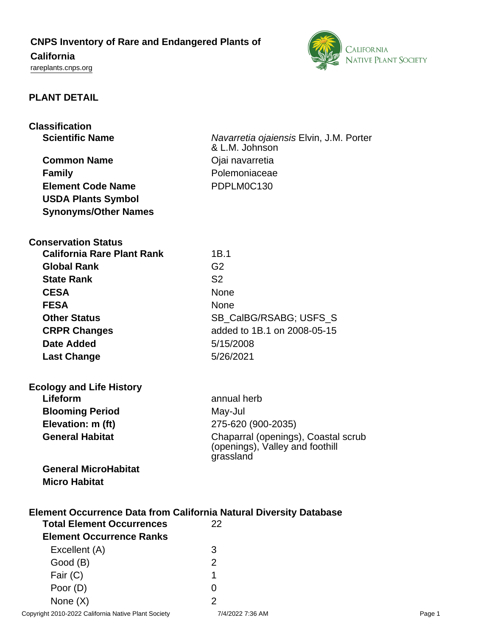# **CNPS Inventory of Rare and Endangered Plants of**

# **California**

<rareplants.cnps.org>



## **PLANT DETAIL**

| <b>Classification</b>                                                                                               |                                                                                     |
|---------------------------------------------------------------------------------------------------------------------|-------------------------------------------------------------------------------------|
| <b>Scientific Name</b>                                                                                              | Navarretia ojaiensis Elvin, J.M. Porter                                             |
|                                                                                                                     | & L.M. Johnson                                                                      |
| <b>Common Name</b>                                                                                                  | Ojai navarretia                                                                     |
| <b>Family</b>                                                                                                       | Polemoniaceae                                                                       |
| <b>Element Code Name</b>                                                                                            | PDPLM0C130                                                                          |
| <b>USDA Plants Symbol</b>                                                                                           |                                                                                     |
| <b>Synonyms/Other Names</b>                                                                                         |                                                                                     |
| <b>Conservation Status</b>                                                                                          |                                                                                     |
| <b>California Rare Plant Rank</b>                                                                                   | 1B.1                                                                                |
| <b>Global Rank</b>                                                                                                  | G <sub>2</sub>                                                                      |
| <b>State Rank</b>                                                                                                   | S <sub>2</sub>                                                                      |
| <b>CESA</b>                                                                                                         | None                                                                                |
| <b>FESA</b>                                                                                                         | None                                                                                |
| <b>Other Status</b>                                                                                                 | SB_CalBG/RSABG; USFS_S                                                              |
| <b>CRPR Changes</b>                                                                                                 | added to 1B.1 on 2008-05-15                                                         |
| <b>Date Added</b>                                                                                                   | 5/15/2008                                                                           |
| <b>Last Change</b>                                                                                                  | 5/26/2021                                                                           |
| <b>Ecology and Life History</b>                                                                                     |                                                                                     |
| Lifeform                                                                                                            | annual herb                                                                         |
| <b>Blooming Period</b>                                                                                              | May-Jul                                                                             |
| Elevation: m (ft)                                                                                                   | 275-620 (900-2035)                                                                  |
| <b>General Habitat</b>                                                                                              | Chaparral (openings), Coastal scrub<br>(openings), Valley and foothill<br>grassland |
| <b>General MicroHabitat</b>                                                                                         |                                                                                     |
| <b>Micro Habitat</b>                                                                                                |                                                                                     |
| <b>Element Occurrence Data from California Natural Diversity Database</b><br><b>Total Element Occurrences</b><br>22 |                                                                                     |
| <b>Element Occurrence Ranks</b>                                                                                     |                                                                                     |
| Excellent (A)                                                                                                       | 3                                                                                   |
| Good (B)                                                                                                            | $\overline{2}$                                                                      |
| Fair (C)                                                                                                            | 1                                                                                   |

Poor (D) 0 None  $(X)$  2